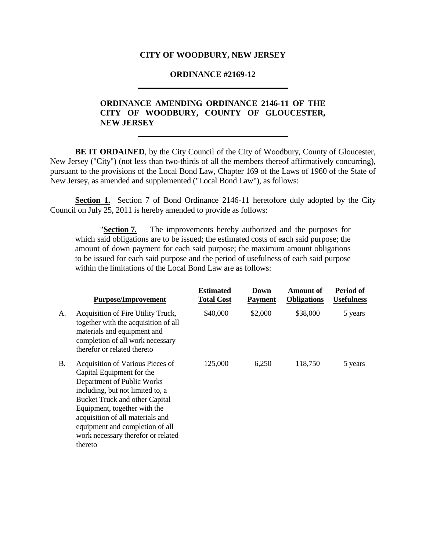#### **CITY OF WOODBURY, NEW JERSEY**

#### **ORDINANCE #2169-12**

# **ORDINANCE AMENDING ORDINANCE 2146-11 OF THE CITY OF WOODBURY, COUNTY OF GLOUCESTER, NEW JERSEY**

**BE IT ORDAINED**, by the City Council of the City of Woodbury, County of Gloucester, New Jersey ("City") (not less than two-thirds of all the members thereof affirmatively concurring), pursuant to the provisions of the Local Bond Law, Chapter 169 of the Laws of 1960 of the State of New Jersey, as amended and supplemented ("Local Bond Law"), as follows:

**Section 1.** Section 7 of Bond Ordinance 2146-11 heretofore duly adopted by the City Council on July 25, 2011 is hereby amended to provide as follows:

"**Section 7***.* The improvements hereby authorized and the purposes for which said obligations are to be issued; the estimated costs of each said purpose; the amount of down payment for each said purpose; the maximum amount obligations to be issued for each said purpose and the period of usefulness of each said purpose within the limitations of the Local Bond Law are as follows:

|    | <b>Purpose/Improvement</b>                                                                                                                                                                                                                                                                                                       | <b>Estimated</b><br><b>Total Cost</b> | Down<br><b>Payment</b> | Amount of<br><b>Obligations</b> | Period of<br><b>Usefulness</b> |
|----|----------------------------------------------------------------------------------------------------------------------------------------------------------------------------------------------------------------------------------------------------------------------------------------------------------------------------------|---------------------------------------|------------------------|---------------------------------|--------------------------------|
| А. | Acquisition of Fire Utility Truck,<br>together with the acquisition of all<br>materials and equipment and<br>completion of all work necessary<br>therefor or related thereto                                                                                                                                                     | \$40,000                              | \$2,000                | \$38,000                        | 5 years                        |
| В. | Acquisition of Various Pieces of<br>Capital Equipment for the<br>Department of Public Works<br>including, but not limited to, a<br><b>Bucket Truck and other Capital</b><br>Equipment, together with the<br>acquisition of all materials and<br>equipment and completion of all<br>work necessary therefor or related<br>thereto | 125,000                               | 6,250                  | 118,750                         | 5 years                        |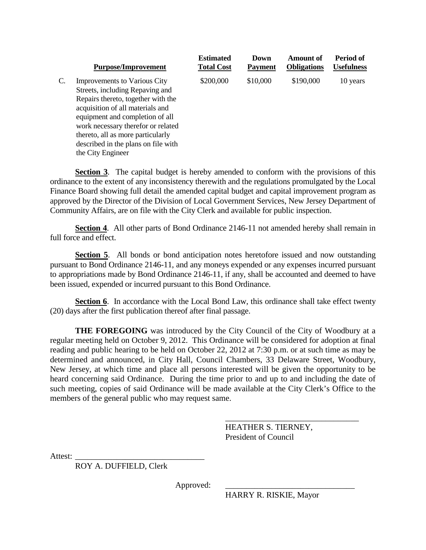|    | <b>Purpose/Improvement</b>          | <b>Estimated</b><br><b>Total Cost</b> | Down<br><b>Payment</b> | <b>Amount of</b><br><b>Obligations</b> | Period of<br><b>Usefulness</b> |
|----|-------------------------------------|---------------------------------------|------------------------|----------------------------------------|--------------------------------|
| C. | Improvements to Various City        | \$200,000                             | \$10,000               | \$190,000                              | 10 years                       |
|    | Streets, including Repaving and     |                                       |                        |                                        |                                |
|    | Repairs thereto, together with the  |                                       |                        |                                        |                                |
|    | acquisition of all materials and    |                                       |                        |                                        |                                |
|    | equipment and completion of all     |                                       |                        |                                        |                                |
|    | work necessary therefor or related  |                                       |                        |                                        |                                |
|    | thereto, all as more particularly   |                                       |                        |                                        |                                |
|    | described in the plans on file with |                                       |                        |                                        |                                |
|    | the City Engineer                   |                                       |                        |                                        |                                |

**Section 3**. The capital budget is hereby amended to conform with the provisions of this ordinance to the extent of any inconsistency therewith and the regulations promulgated by the Local Finance Board showing full detail the amended capital budget and capital improvement program as approved by the Director of the Division of Local Government Services, New Jersey Department of Community Affairs, are on file with the City Clerk and available for public inspection.

**Section 4.** All other parts of Bond Ordinance 2146-11 not amended hereby shall remain in full force and effect.

**Section 5**. All bonds or bond anticipation notes heretofore issued and now outstanding pursuant to Bond Ordinance 2146-11, and any moneys expended or any expenses incurred pursuant to appropriations made by Bond Ordinance 2146-11, if any, shall be accounted and deemed to have been issued, expended or incurred pursuant to this Bond Ordinance.

**Section 6**. In accordance with the Local Bond Law, this ordinance shall take effect twenty (20) days after the first publication thereof after final passage.

**THE FOREGOING** was introduced by the City Council of the City of Woodbury at a regular meeting held on October 9, 2012. This Ordinance will be considered for adoption at final reading and public hearing to be held on October 22, 2012 at 7:30 p.m. or at such time as may be determined and announced, in City Hall, Council Chambers, 33 Delaware Street, Woodbury, New Jersey, at which time and place all persons interested will be given the opportunity to be heard concerning said Ordinance. During the time prior to and up to and including the date of such meeting, copies of said Ordinance will be made available at the City Clerk's Office to the members of the general public who may request same.

> HEATHER S. TIERNEY, President of Council

 $\overline{\phantom{a}}$  , where  $\overline{\phantom{a}}$  , where  $\overline{\phantom{a}}$  ,  $\overline{\phantom{a}}$  ,  $\overline{\phantom{a}}$  ,  $\overline{\phantom{a}}$  ,  $\overline{\phantom{a}}$  ,  $\overline{\phantom{a}}$  ,  $\overline{\phantom{a}}$  ,  $\overline{\phantom{a}}$  ,  $\overline{\phantom{a}}$  ,  $\overline{\phantom{a}}$  ,  $\overline{\phantom{a}}$  ,  $\overline{\phantom{a}}$  ,  $\overline{\phantom{a}}$  ,

Attest:

ROY A. DUFFIELD, Clerk

Approved:

HARRY R. RISKIE, Mayor